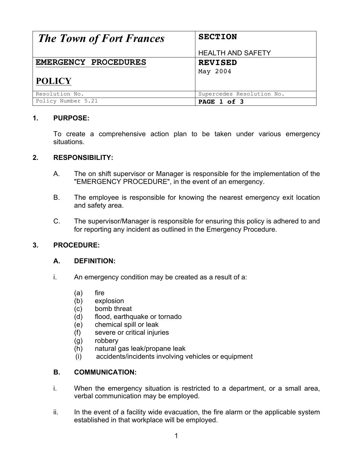| <b>The Town of Fort Frances</b> | <b>SECTION</b>            |  |
|---------------------------------|---------------------------|--|
|                                 | <b>HEALTH AND SAFETY</b>  |  |
| EMERGENCY PROCEDURES            | <b>REVISED</b>            |  |
|                                 | May 2004                  |  |
| <b>POLICY</b>                   |                           |  |
| Resolution No.                  | Supercedes Resolution No. |  |
| Policy Number 5.21              | PAGE 1 of 3               |  |

## **1. PURPOSE:**

To create a comprehensive action plan to be taken under various emergency situations.

### **2. RESPONSIBILITY:**

- A. The on shift supervisor or Manager is responsible for the implementation of the "EMERGENCY PROCEDURE", in the event of an emergency.
- B. The employee is responsible for knowing the nearest emergency exit location and safety area.
- C. The supervisor/Manager is responsible for ensuring this policy is adhered to and for reporting any incident as outlined in the Emergency Procedure.

### **3. PROCEDURE:**

### **A. DEFINITION:**

- i. An emergency condition may be created as a result of a:
	- (a) fire
	- (b) explosion
	- (c) bomb threat
	- (d) flood, earthquake or tornado
	- (e) chemical spill or leak
	- (f) severe or critical injuries
	- (g) robbery
	- (h) natural gas leak/propane leak
	- (i) accidents/incidents involving vehicles or equipment

### **B. COMMUNICATION:**

- i. When the emergency situation is restricted to a department, or a small area, verbal communication may be employed.
- ii. In the event of a facility wide evacuation, the fire alarm or the applicable system established in that workplace will be employed.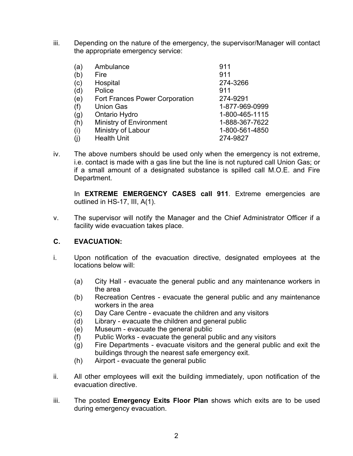iii. Depending on the nature of the emergency, the supervisor/Manager will contact the appropriate emergency service:

| (a) | Ambulance                             | 911            |
|-----|---------------------------------------|----------------|
| (b) | Fire                                  | 911            |
| (c) | Hospital                              | 274-3266       |
| (d) | Police                                | 911            |
| (e) | <b>Fort Frances Power Corporation</b> | 274-9291       |
| (f) | <b>Union Gas</b>                      | 1-877-969-0999 |
| (g) | Ontario Hydro                         | 1-800-465-1115 |
| (h) | Ministry of Environment               | 1-888-367-7622 |
| (i) | Ministry of Labour                    | 1-800-561-4850 |
| (i) | <b>Health Unit</b>                    | 274-9827       |

iv. The above numbers should be used only when the emergency is not extreme, i.e. contact is made with a gas line but the line is not ruptured call Union Gas; or if a small amount of a designated substance is spilled call M.O.E. and Fire Department.

In **EXTREME EMERGENCY CASES call 911**. Extreme emergencies are outlined in HS-17, III, A(1).

v. The supervisor will notify the Manager and the Chief Administrator Officer if a facility wide evacuation takes place.

### **C. EVACUATION:**

- i. Upon notification of the evacuation directive, designated employees at the locations below will:
	- (a) City Hall evacuate the general public and any maintenance workers in the area
	- (b) Recreation Centres evacuate the general public and any maintenance workers in the area
	- (c) Day Care Centre evacuate the children and any visitors
	- (d) Library evacuate the children and general public
	- (e) Museum evacuate the general public
	- (f) Public Works evacuate the general public and any visitors
	- (g) Fire Departments evacuate visitors and the general public and exit the buildings through the nearest safe emergency exit.
	- (h) Airport evacuate the general public
- ii. All other employees will exit the building immediately, upon notification of the evacuation directive.
- iii. The posted **Emergency Exits Floor Plan** shows which exits are to be used during emergency evacuation.